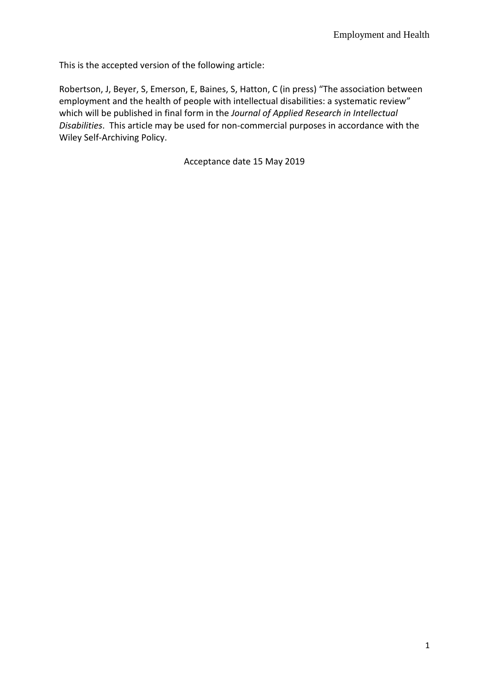This is the accepted version of the following article:

Robertson, J, Beyer, S, Emerson, E, Baines, S, Hatton, C (in press) "The association between employment and the health of people with intellectual disabilities: a systematic review" which will be published in final form in the *Journal of Applied Research in Intellectual Disabilities*. This article may be used for non-commercial purposes in accordance with the Wiley Self-Archiving Policy.

Acceptance date 15 May 2019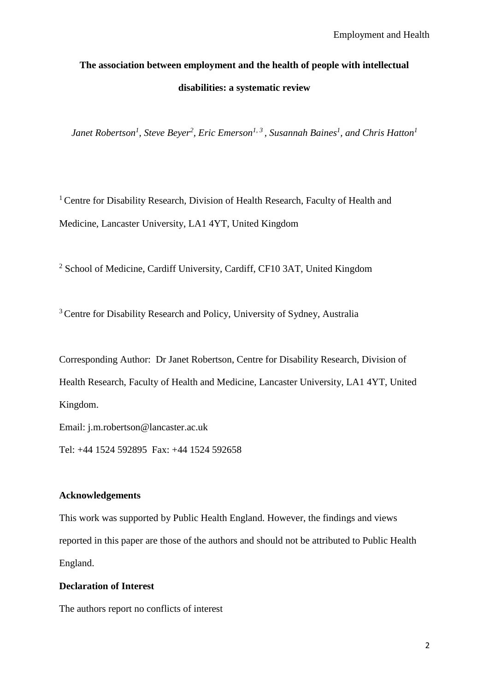# **The association between employment and the health of people with intellectual disabilities: a systematic review**

*Janet Robertson<sup>1</sup> , Steve Beyer<sup>2</sup> , Eric Emerson1, 3 , Susannah Baines<sup>1</sup> , and Chris Hatton<sup>1</sup>*

<sup>1</sup> Centre for Disability Research, Division of Health Research, Faculty of Health and Medicine, Lancaster University, LA1 4YT, United Kingdom

<sup>2</sup> School of Medicine, Cardiff University, Cardiff, CF10 3AT, United Kingdom

<sup>3</sup> Centre for Disability Research and Policy, University of Sydney, Australia

Corresponding Author: Dr Janet Robertson, Centre for Disability Research, Division of Health Research, Faculty of Health and Medicine, Lancaster University, LA1 4YT, United Kingdom.

Email: j.m.robertson@lancaster.ac.uk

Tel: +44 1524 592895 Fax: +44 1524 592658

## **Acknowledgements**

This work was supported by Public Health England. However, the findings and views reported in this paper are those of the authors and should not be attributed to Public Health England.

## **Declaration of Interest**

The authors report no conflicts of interest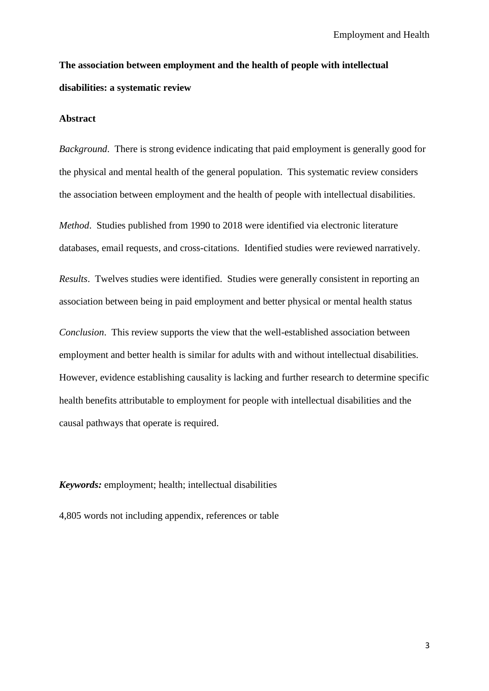## **The association between employment and the health of people with intellectual disabilities: a systematic review**

#### **Abstract**

*Background*. There is strong evidence indicating that paid employment is generally good for the physical and mental health of the general population. This systematic review considers the association between employment and the health of people with intellectual disabilities.

*Method*. Studies published from 1990 to 2018 were identified via electronic literature databases, email requests, and cross-citations. Identified studies were reviewed narratively.

*Results*. Twelves studies were identified. Studies were generally consistent in reporting an association between being in paid employment and better physical or mental health status

*Conclusion*. This review supports the view that the well-established association between employment and better health is similar for adults with and without intellectual disabilities. However, evidence establishing causality is lacking and further research to determine specific health benefits attributable to employment for people with intellectual disabilities and the causal pathways that operate is required.

*Keywords:* employment; health; intellectual disabilities

4,805 words not including appendix, references or table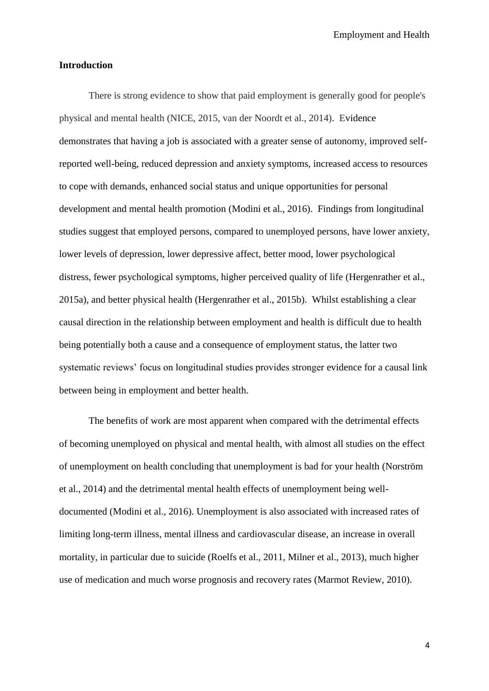Employment and Health

#### **Introduction**

There is strong evidence to show that paid employment is generally good for people's physical and mental health (NICE, 2015, van der Noordt et al., 2014). Evidence demonstrates that having a job is associated with a greater sense of autonomy, improved selfreported well-being, reduced depression and anxiety symptoms, increased access to resources to cope with demands, enhanced social status and unique opportunities for personal development and mental health promotion (Modini et al., 2016). Findings from longitudinal studies suggest that employed persons, compared to unemployed persons, have lower anxiety, lower levels of depression, lower depressive affect, better mood, lower psychological distress, fewer psychological symptoms, higher perceived quality of life (Hergenrather et al., 2015a), and better physical health (Hergenrather et al., 2015b). Whilst establishing a clear causal direction in the relationship between employment and health is difficult due to health being potentially both a cause and a consequence of employment status, the latter two systematic reviews' focus on longitudinal studies provides stronger evidence for a causal link between being in employment and better health.

The benefits of work are most apparent when compared with the detrimental effects of becoming unemployed on physical and mental health, with almost all studies on the effect of unemployment on health concluding that unemployment is bad for your health (Norström et al., 2014) and the detrimental mental health effects of unemployment being welldocumented (Modini et al., 2016). Unemployment is also associated with increased rates of limiting long-term illness, mental illness and cardiovascular disease, an increase in overall mortality, in particular due to suicide (Roelfs et al., 2011, Milner et al., 2013), much higher use of medication and much worse prognosis and recovery rates (Marmot Review, 2010).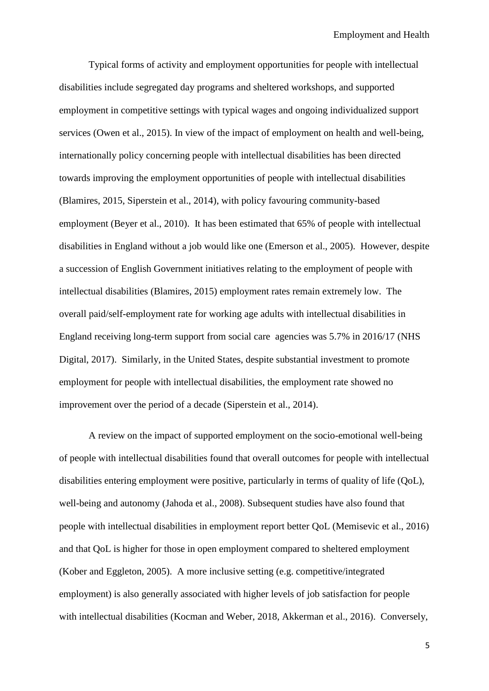Typical forms of activity and employment opportunities for people with intellectual disabilities include segregated day programs and sheltered workshops, and supported employment in competitive settings with typical wages and ongoing individualized support services (Owen et al., 2015). In view of the impact of employment on health and well-being, internationally policy concerning people with intellectual disabilities has been directed towards improving the employment opportunities of people with intellectual disabilities (Blamires, 2015, Siperstein et al., 2014), with policy favouring community-based employment (Beyer et al., 2010). It has been estimated that 65% of people with intellectual disabilities in England without a job would like one (Emerson et al., 2005). However, despite a succession of English Government initiatives relating to the employment of people with intellectual disabilities (Blamires, 2015) employment rates remain extremely low. The overall paid/self-employment rate for working age adults with intellectual disabilities in England receiving long-term support from social care agencies was 5.7% in 2016/17 (NHS Digital, 2017). Similarly, in the United States, despite substantial investment to promote employment for people with intellectual disabilities, the employment rate showed no improvement over the period of a decade (Siperstein et al., 2014).

A review on the impact of supported employment on the socio-emotional well-being of people with intellectual disabilities found that overall outcomes for people with intellectual disabilities entering employment were positive, particularly in terms of quality of life (QoL), well-being and autonomy (Jahoda et al., 2008). Subsequent studies have also found that people with intellectual disabilities in employment report better QoL (Memisevic et al., 2016) and that QoL is higher for those in open employment compared to sheltered employment (Kober and Eggleton, 2005). A more inclusive setting (e.g. competitive/integrated employment) is also generally associated with higher levels of job satisfaction for people with intellectual disabilities (Kocman and Weber, 2018, Akkerman et al., 2016). Conversely,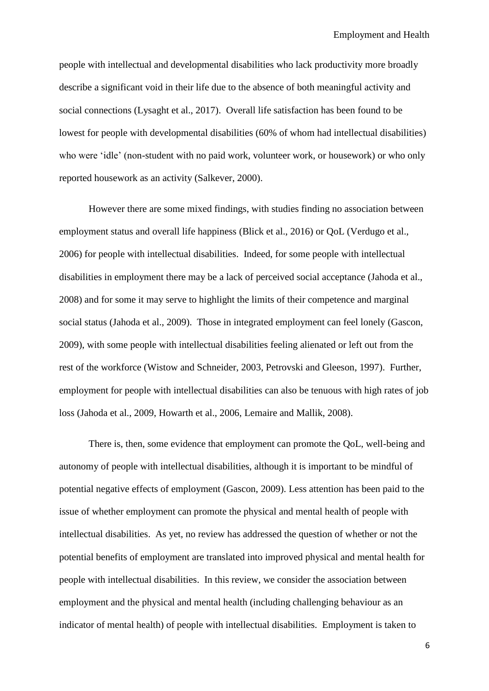people with intellectual and developmental disabilities who lack productivity more broadly describe a significant void in their life due to the absence of both meaningful activity and social connections (Lysaght et al., 2017). Overall life satisfaction has been found to be lowest for people with developmental disabilities (60% of whom had intellectual disabilities) who were 'idle' (non-student with no paid work, volunteer work, or housework) or who only reported housework as an activity (Salkever, 2000).

However there are some mixed findings, with studies finding no association between employment status and overall life happiness (Blick et al., 2016) or QoL (Verdugo et al., 2006) for people with intellectual disabilities. Indeed, for some people with intellectual disabilities in employment there may be a lack of perceived social acceptance (Jahoda et al., 2008) and for some it may serve to highlight the limits of their competence and marginal social status (Jahoda et al., 2009). Those in integrated employment can feel lonely (Gascon, 2009), with some people with intellectual disabilities feeling alienated or left out from the rest of the workforce (Wistow and Schneider, 2003, Petrovski and Gleeson, 1997). Further, employment for people with intellectual disabilities can also be tenuous with high rates of job loss (Jahoda et al., 2009, Howarth et al., 2006, Lemaire and Mallik, 2008).

There is, then, some evidence that employment can promote the QoL, well-being and autonomy of people with intellectual disabilities, although it is important to be mindful of potential negative effects of employment (Gascon, 2009). Less attention has been paid to the issue of whether employment can promote the physical and mental health of people with intellectual disabilities. As yet, no review has addressed the question of whether or not the potential benefits of employment are translated into improved physical and mental health for people with intellectual disabilities. In this review, we consider the association between employment and the physical and mental health (including challenging behaviour as an indicator of mental health) of people with intellectual disabilities. Employment is taken to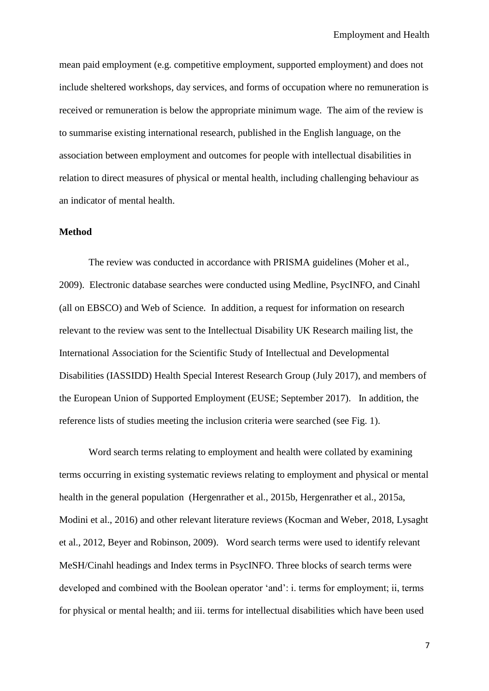mean paid employment (e.g. competitive employment, supported employment) and does not include sheltered workshops, day services, and forms of occupation where no remuneration is received or remuneration is below the appropriate minimum wage. The aim of the review is to summarise existing international research, published in the English language, on the association between employment and outcomes for people with intellectual disabilities in relation to direct measures of physical or mental health, including challenging behaviour as an indicator of mental health.

## **Method**

The review was conducted in accordance with PRISMA guidelines (Moher et al., 2009). Electronic database searches were conducted using Medline, PsycINFO, and Cinahl (all on EBSCO) and Web of Science. In addition, a request for information on research relevant to the review was sent to the Intellectual Disability UK Research mailing list, the International Association for the Scientific Study of Intellectual and Developmental Disabilities (IASSIDD) Health Special Interest Research Group (July 2017), and members of the European Union of Supported Employment (EUSE; September 2017). In addition, the reference lists of studies meeting the inclusion criteria were searched (see Fig. 1).

Word search terms relating to employment and health were collated by examining terms occurring in existing systematic reviews relating to employment and physical or mental health in the general population (Hergenrather et al., 2015b, Hergenrather et al., 2015a, Modini et al., 2016) and other relevant literature reviews (Kocman and Weber, 2018, Lysaght et al., 2012, Beyer and Robinson, 2009). Word search terms were used to identify relevant MeSH/Cinahl headings and Index terms in PsycINFO. Three blocks of search terms were developed and combined with the Boolean operator 'and': i. terms for employment; ii, terms for physical or mental health; and iii. terms for intellectual disabilities which have been used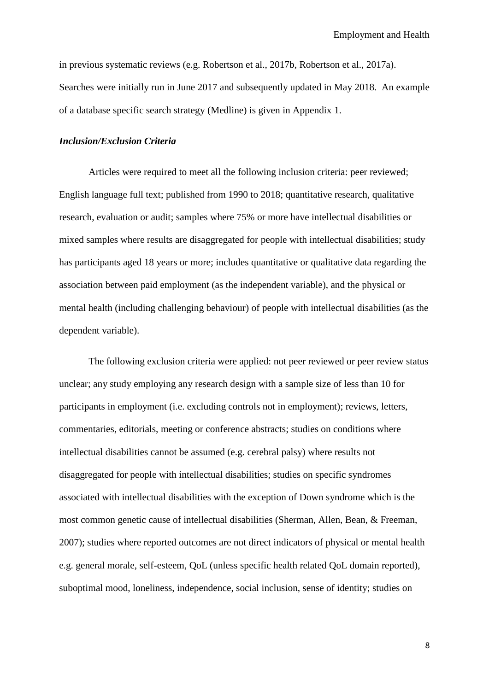in previous systematic reviews (e.g. Robertson et al., 2017b, Robertson et al., 2017a). Searches were initially run in June 2017 and subsequently updated in May 2018. An example of a database specific search strategy (Medline) is given in Appendix 1.

## *Inclusion/Exclusion Criteria*

Articles were required to meet all the following inclusion criteria: peer reviewed; English language full text; published from 1990 to 2018; quantitative research, qualitative research, evaluation or audit; samples where 75% or more have intellectual disabilities or mixed samples where results are disaggregated for people with intellectual disabilities; study has participants aged 18 years or more; includes quantitative or qualitative data regarding the association between paid employment (as the independent variable), and the physical or mental health (including challenging behaviour) of people with intellectual disabilities (as the dependent variable).

The following exclusion criteria were applied: not peer reviewed or peer review status unclear; any study employing any research design with a sample size of less than 10 for participants in employment (i.e. excluding controls not in employment); reviews, letters, commentaries, editorials, meeting or conference abstracts; studies on conditions where intellectual disabilities cannot be assumed (e.g. cerebral palsy) where results not disaggregated for people with intellectual disabilities; studies on specific syndromes associated with intellectual disabilities with the exception of Down syndrome which is the most common genetic cause of intellectual disabilities (Sherman, Allen, Bean, & Freeman, 2007); studies where reported outcomes are not direct indicators of physical or mental health e.g. general morale, self-esteem, QoL (unless specific health related QoL domain reported), suboptimal mood, loneliness, independence, social inclusion, sense of identity; studies on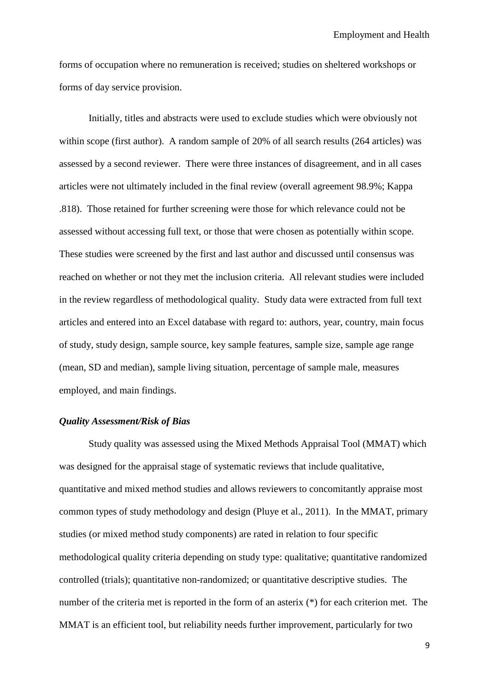forms of occupation where no remuneration is received; studies on sheltered workshops or forms of day service provision.

Initially, titles and abstracts were used to exclude studies which were obviously not within scope (first author). A random sample of 20% of all search results (264 articles) was assessed by a second reviewer. There were three instances of disagreement, and in all cases articles were not ultimately included in the final review (overall agreement 98.9%; Kappa .818). Those retained for further screening were those for which relevance could not be assessed without accessing full text, or those that were chosen as potentially within scope. These studies were screened by the first and last author and discussed until consensus was reached on whether or not they met the inclusion criteria. All relevant studies were included in the review regardless of methodological quality. Study data were extracted from full text articles and entered into an Excel database with regard to: authors, year, country, main focus of study, study design, sample source, key sample features, sample size, sample age range (mean, SD and median), sample living situation, percentage of sample male, measures employed, and main findings.

#### *Quality Assessment/Risk of Bias*

Study quality was assessed using the Mixed Methods Appraisal Tool (MMAT) which was designed for the appraisal stage of systematic reviews that include qualitative, quantitative and mixed method studies and allows reviewers to concomitantly appraise most common types of study methodology and design (Pluye et al., 2011). In the MMAT, primary studies (or mixed method study components) are rated in relation to four specific methodological quality criteria depending on study type: qualitative; quantitative randomized controlled (trials); quantitative non-randomized; or quantitative descriptive studies. The number of the criteria met is reported in the form of an asterix (\*) for each criterion met. The MMAT is an efficient tool, but reliability needs further improvement, particularly for two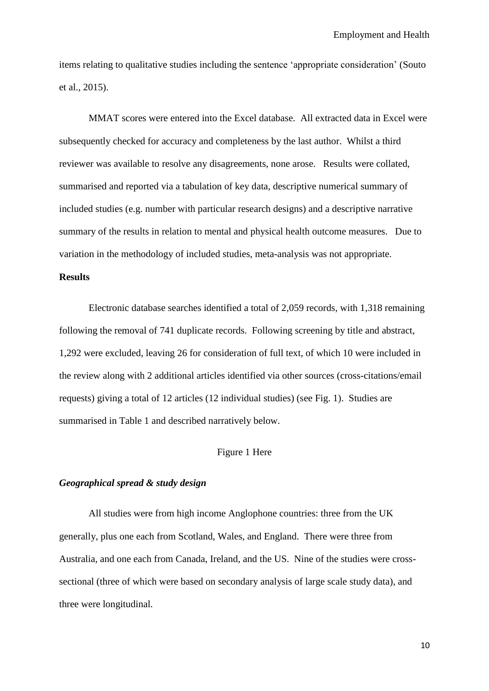items relating to qualitative studies including the sentence 'appropriate consideration' (Souto et al., 2015).

MMAT scores were entered into the Excel database. All extracted data in Excel were subsequently checked for accuracy and completeness by the last author. Whilst a third reviewer was available to resolve any disagreements, none arose. Results were collated, summarised and reported via a tabulation of key data, descriptive numerical summary of included studies (e.g. number with particular research designs) and a descriptive narrative summary of the results in relation to mental and physical health outcome measures. Due to variation in the methodology of included studies, meta-analysis was not appropriate.

## **Results**

Electronic database searches identified a total of 2,059 records, with 1,318 remaining following the removal of 741 duplicate records. Following screening by title and abstract, 1,292 were excluded, leaving 26 for consideration of full text, of which 10 were included in the review along with 2 additional articles identified via other sources (cross-citations/email requests) giving a total of 12 articles (12 individual studies) (see Fig. 1). Studies are summarised in Table 1 and described narratively below.

## Figure 1 Here

## *Geographical spread & study design*

All studies were from high income Anglophone countries: three from the UK generally, plus one each from Scotland, Wales, and England. There were three from Australia, and one each from Canada, Ireland, and the US. Nine of the studies were crosssectional (three of which were based on secondary analysis of large scale study data), and three were longitudinal.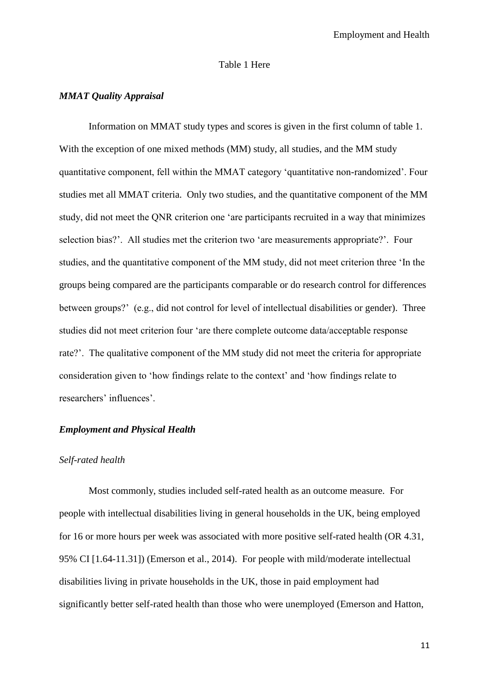#### Table 1 Here

## *MMAT Quality Appraisal*

Information on MMAT study types and scores is given in the first column of table 1. With the exception of one mixed methods (MM) study, all studies, and the MM study quantitative component, fell within the MMAT category 'quantitative non-randomized'. Four studies met all MMAT criteria. Only two studies, and the quantitative component of the MM study, did not meet the QNR criterion one 'are participants recruited in a way that minimizes selection bias?'. All studies met the criterion two 'are measurements appropriate?'. Four studies, and the quantitative component of the MM study, did not meet criterion three 'In the groups being compared are the participants comparable or do research control for differences between groups?' (e.g., did not control for level of intellectual disabilities or gender). Three studies did not meet criterion four 'are there complete outcome data/acceptable response rate?'. The qualitative component of the MM study did not meet the criteria for appropriate consideration given to 'how findings relate to the context' and 'how findings relate to researchers' influences'.

## *Employment and Physical Health*

#### *Self-rated health*

Most commonly, studies included self-rated health as an outcome measure. For people with intellectual disabilities living in general households in the UK, being employed for 16 or more hours per week was associated with more positive self-rated health (OR 4.31, 95% CI [1.64-11.31]) (Emerson et al., 2014). For people with mild/moderate intellectual disabilities living in private households in the UK, those in paid employment had significantly better self-rated health than those who were unemployed (Emerson and Hatton,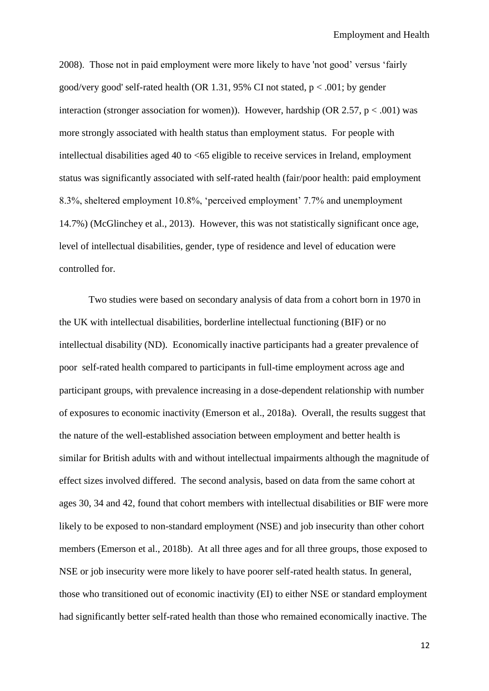2008). Those not in paid employment were more likely to have 'not good' versus 'fairly good/very good' self-rated health (OR 1.31, 95% CI not stated,  $p < .001$ ; by gender interaction (stronger association for women)). However, hardship (OR 2.57,  $p < .001$ ) was more strongly associated with health status than employment status. For people with intellectual disabilities aged 40 to <65 eligible to receive services in Ireland, employment status was significantly associated with self-rated health (fair/poor health: paid employment 8.3%, sheltered employment 10.8%, 'perceived employment' 7.7% and unemployment 14.7%) (McGlinchey et al., 2013). However, this was not statistically significant once age, level of intellectual disabilities, gender, type of residence and level of education were controlled for.

Two studies were based on secondary analysis of data from a cohort born in 1970 in the UK with intellectual disabilities, borderline intellectual functioning (BIF) or no intellectual disability (ND). Economically inactive participants had a greater prevalence of poor self-rated health compared to participants in full-time employment across age and participant groups, with prevalence increasing in a dose-dependent relationship with number of exposures to economic inactivity (Emerson et al., 2018a). Overall, the results suggest that the nature of the well-established association between employment and better health is similar for British adults with and without intellectual impairments although the magnitude of effect sizes involved differed. The second analysis, based on data from the same cohort at ages 30, 34 and 42, found that cohort members with intellectual disabilities or BIF were more likely to be exposed to non-standard employment (NSE) and job insecurity than other cohort members (Emerson et al., 2018b). At all three ages and for all three groups, those exposed to NSE or job insecurity were more likely to have poorer self-rated health status. In general, those who transitioned out of economic inactivity (EI) to either NSE or standard employment had significantly better self-rated health than those who remained economically inactive. The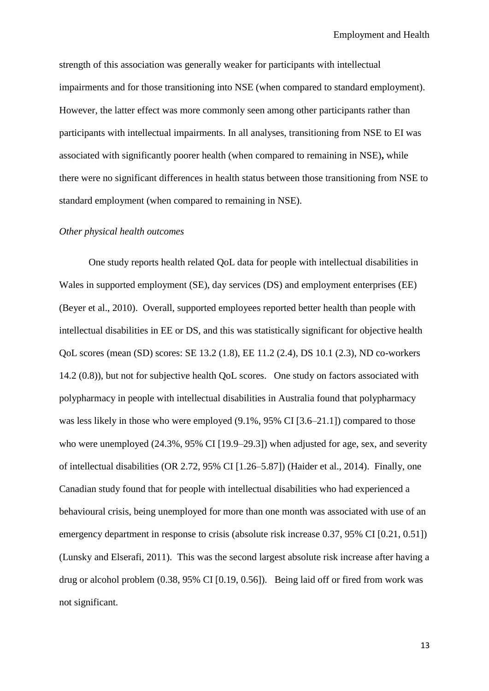strength of this association was generally weaker for participants with intellectual impairments and for those transitioning into NSE (when compared to standard employment). However, the latter effect was more commonly seen among other participants rather than participants with intellectual impairments. In all analyses, transitioning from NSE to EI was associated with significantly poorer health (when compared to remaining in NSE)**,** while there were no significant differences in health status between those transitioning from NSE to standard employment (when compared to remaining in NSE).

## *Other physical health outcomes*

One study reports health related QoL data for people with intellectual disabilities in Wales in supported employment (SE), day services (DS) and employment enterprises (EE) (Beyer et al., 2010). Overall, supported employees reported better health than people with intellectual disabilities in EE or DS, and this was statistically significant for objective health QoL scores (mean (SD) scores: SE 13.2 (1.8), EE 11.2 (2.4), DS 10.1 (2.3), ND co-workers 14.2 (0.8)), but not for subjective health QoL scores. One study on factors associated with polypharmacy in people with intellectual disabilities in Australia found that polypharmacy was less likely in those who were employed  $(9.1\%, 95\% \text{ CI} [3.6-21.1])$  compared to those who were unemployed (24.3%, 95% CI [19.9–29.3]) when adjusted for age, sex, and severity of intellectual disabilities (OR 2.72, 95% CI [1.26–5.87]) (Haider et al., 2014). Finally, one Canadian study found that for people with intellectual disabilities who had experienced a behavioural crisis, being unemployed for more than one month was associated with use of an emergency department in response to crisis (absolute risk increase 0.37, 95% CI [0.21, 0.51]) (Lunsky and Elserafi, 2011). This was the second largest absolute risk increase after having a drug or alcohol problem (0.38, 95% CI [0.19, 0.56]). Being laid off or fired from work was not significant.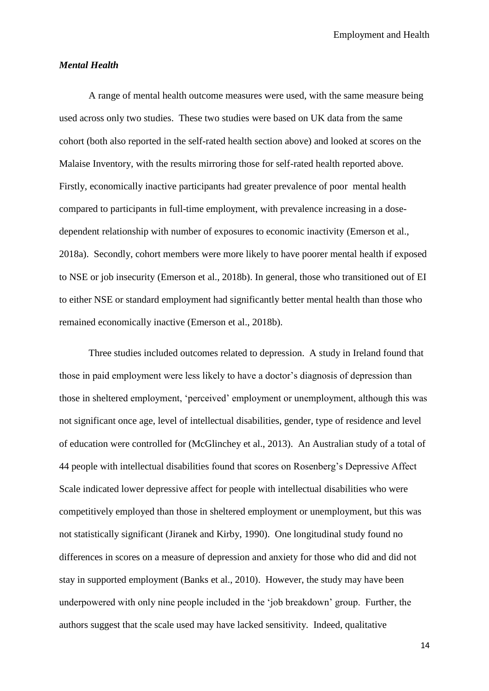#### *Mental Health*

A range of mental health outcome measures were used, with the same measure being used across only two studies. These two studies were based on UK data from the same cohort (both also reported in the self-rated health section above) and looked at scores on the Malaise Inventory, with the results mirroring those for self-rated health reported above. Firstly, economically inactive participants had greater prevalence of poor mental health compared to participants in full-time employment, with prevalence increasing in a dosedependent relationship with number of exposures to economic inactivity (Emerson et al., 2018a). Secondly, cohort members were more likely to have poorer mental health if exposed to NSE or job insecurity (Emerson et al., 2018b). In general, those who transitioned out of EI to either NSE or standard employment had significantly better mental health than those who remained economically inactive (Emerson et al., 2018b).

Three studies included outcomes related to depression. A study in Ireland found that those in paid employment were less likely to have a doctor's diagnosis of depression than those in sheltered employment, 'perceived' employment or unemployment, although this was not significant once age, level of intellectual disabilities, gender, type of residence and level of education were controlled for (McGlinchey et al., 2013). An Australian study of a total of 44 people with intellectual disabilities found that scores on Rosenberg's Depressive Affect Scale indicated lower depressive affect for people with intellectual disabilities who were competitively employed than those in sheltered employment or unemployment, but this was not statistically significant (Jiranek and Kirby, 1990). One longitudinal study found no differences in scores on a measure of depression and anxiety for those who did and did not stay in supported employment (Banks et al., 2010). However, the study may have been underpowered with only nine people included in the 'job breakdown' group. Further, the authors suggest that the scale used may have lacked sensitivity. Indeed, qualitative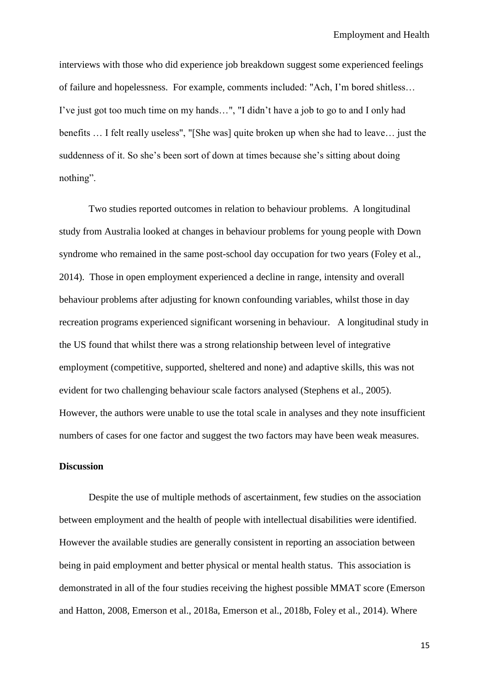interviews with those who did experience job breakdown suggest some experienced feelings of failure and hopelessness. For example, comments included: "Ach, I'm bored shitless… I've just got too much time on my hands…", "I didn't have a job to go to and I only had benefits … I felt really useless", "[She was] quite broken up when she had to leave… just the suddenness of it. So she's been sort of down at times because she's sitting about doing nothing".

Two studies reported outcomes in relation to behaviour problems. A longitudinal study from Australia looked at changes in behaviour problems for young people with Down syndrome who remained in the same post-school day occupation for two years (Foley et al., 2014). Those in open employment experienced a decline in range, intensity and overall behaviour problems after adjusting for known confounding variables, whilst those in day recreation programs experienced significant worsening in behaviour. A longitudinal study in the US found that whilst there was a strong relationship between level of integrative employment (competitive, supported, sheltered and none) and adaptive skills, this was not evident for two challenging behaviour scale factors analysed (Stephens et al., 2005). However, the authors were unable to use the total scale in analyses and they note insufficient numbers of cases for one factor and suggest the two factors may have been weak measures.

## **Discussion**

Despite the use of multiple methods of ascertainment, few studies on the association between employment and the health of people with intellectual disabilities were identified. However the available studies are generally consistent in reporting an association between being in paid employment and better physical or mental health status. This association is demonstrated in all of the four studies receiving the highest possible MMAT score (Emerson and Hatton, 2008, Emerson et al., 2018a, Emerson et al., 2018b, Foley et al., 2014). Where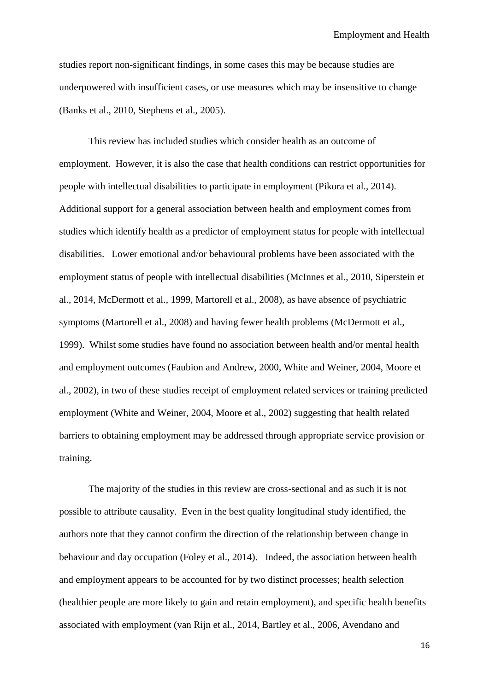studies report non-significant findings, in some cases this may be because studies are underpowered with insufficient cases, or use measures which may be insensitive to change (Banks et al., 2010, Stephens et al., 2005).

This review has included studies which consider health as an outcome of employment. However, it is also the case that health conditions can restrict opportunities for people with intellectual disabilities to participate in employment (Pikora et al., 2014). Additional support for a general association between health and employment comes from studies which identify health as a predictor of employment status for people with intellectual disabilities. Lower emotional and/or behavioural problems have been associated with the employment status of people with intellectual disabilities (McInnes et al., 2010, Siperstein et al., 2014, McDermott et al., 1999, Martorell et al., 2008), as have absence of psychiatric symptoms (Martorell et al., 2008) and having fewer health problems (McDermott et al., 1999). Whilst some studies have found no association between health and/or mental health and employment outcomes (Faubion and Andrew, 2000, White and Weiner, 2004, Moore et al., 2002), in two of these studies receipt of employment related services or training predicted employment (White and Weiner, 2004, Moore et al., 2002) suggesting that health related barriers to obtaining employment may be addressed through appropriate service provision or training.

The majority of the studies in this review are cross-sectional and as such it is not possible to attribute causality. Even in the best quality longitudinal study identified, the authors note that they cannot confirm the direction of the relationship between change in behaviour and day occupation (Foley et al., 2014). Indeed, the association between health and employment appears to be accounted for by two distinct processes; health selection (healthier people are more likely to gain and retain employment), and specific health benefits associated with employment (van Rijn et al., 2014, Bartley et al., 2006, Avendano and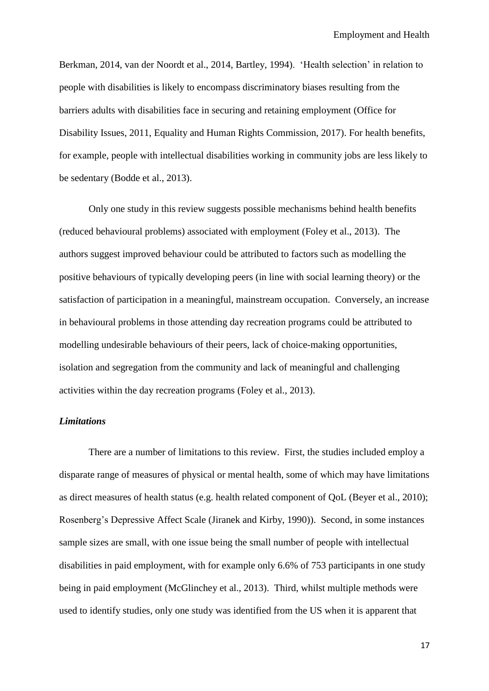Berkman, 2014, van der Noordt et al., 2014, Bartley, 1994). 'Health selection' in relation to people with disabilities is likely to encompass discriminatory biases resulting from the barriers adults with disabilities face in securing and retaining employment (Office for Disability Issues, 2011, Equality and Human Rights Commission, 2017). For health benefits, for example, people with intellectual disabilities working in community jobs are less likely to be sedentary (Bodde et al., 2013).

Only one study in this review suggests possible mechanisms behind health benefits (reduced behavioural problems) associated with employment (Foley et al., 2013). The authors suggest improved behaviour could be attributed to factors such as modelling the positive behaviours of typically developing peers (in line with social learning theory) or the satisfaction of participation in a meaningful, mainstream occupation. Conversely, an increase in behavioural problems in those attending day recreation programs could be attributed to modelling undesirable behaviours of their peers, lack of choice-making opportunities, isolation and segregation from the community and lack of meaningful and challenging activities within the day recreation programs (Foley et al., 2013).

#### *Limitations*

There are a number of limitations to this review. First, the studies included employ a disparate range of measures of physical or mental health, some of which may have limitations as direct measures of health status (e.g. health related component of QoL (Beyer et al., 2010); Rosenberg's Depressive Affect Scale (Jiranek and Kirby, 1990)). Second, in some instances sample sizes are small, with one issue being the small number of people with intellectual disabilities in paid employment, with for example only 6.6% of 753 participants in one study being in paid employment (McGlinchey et al., 2013). Third, whilst multiple methods were used to identify studies, only one study was identified from the US when it is apparent that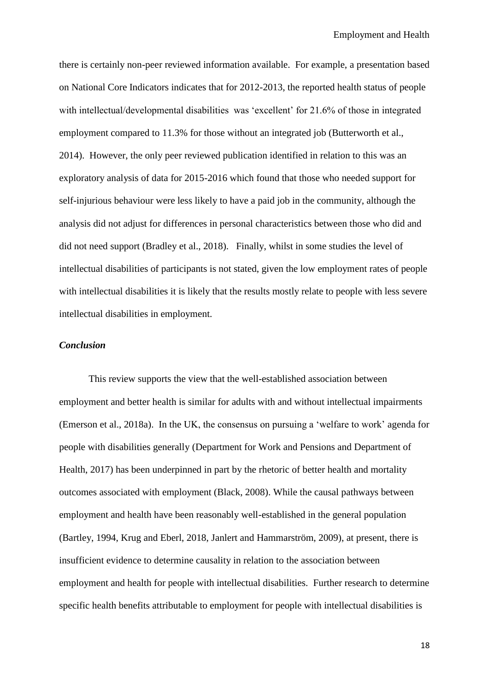there is certainly non-peer reviewed information available. For example, a presentation based on National Core Indicators indicates that for 2012-2013, the reported health status of people with intellectual/developmental disabilities was 'excellent' for 21.6% of those in integrated employment compared to 11.3% for those without an integrated job (Butterworth et al., 2014). However, the only peer reviewed publication identified in relation to this was an exploratory analysis of data for 2015-2016 which found that those who needed support for self-injurious behaviour were less likely to have a paid job in the community, although the analysis did not adjust for differences in personal characteristics between those who did and did not need support (Bradley et al., 2018). Finally, whilst in some studies the level of intellectual disabilities of participants is not stated, given the low employment rates of people with intellectual disabilities it is likely that the results mostly relate to people with less severe intellectual disabilities in employment.

#### *Conclusion*

This review supports the view that the well-established association between employment and better health is similar for adults with and without intellectual impairments (Emerson et al., 2018a). In the UK, the consensus on pursuing a 'welfare to work' agenda for people with disabilities generally (Department for Work and Pensions and Department of Health, 2017) has been underpinned in part by the rhetoric of better health and mortality outcomes associated with employment (Black, 2008). While the causal pathways between employment and health have been reasonably well-established in the general population (Bartley, 1994, Krug and Eberl, 2018, Janlert and Hammarström, 2009), at present, there is insufficient evidence to determine causality in relation to the association between employment and health for people with intellectual disabilities. Further research to determine specific health benefits attributable to employment for people with intellectual disabilities is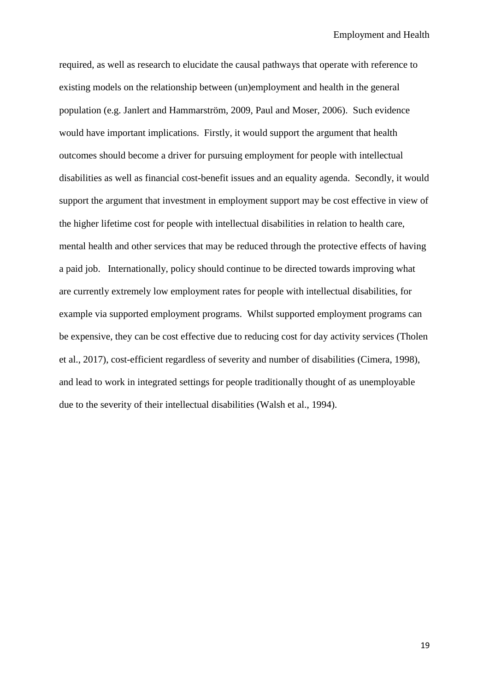required, as well as research to elucidate the causal pathways that operate with reference to existing models on the relationship between (un)employment and health in the general population (e.g. Janlert and Hammarström, 2009, Paul and Moser, 2006). Such evidence would have important implications. Firstly, it would support the argument that health outcomes should become a driver for pursuing employment for people with intellectual disabilities as well as financial cost-benefit issues and an equality agenda. Secondly, it would support the argument that investment in employment support may be cost effective in view of the higher lifetime cost for people with intellectual disabilities in relation to health care, mental health and other services that may be reduced through the protective effects of having a paid job. Internationally, policy should continue to be directed towards improving what are currently extremely low employment rates for people with intellectual disabilities, for example via supported employment programs. Whilst supported employment programs can be expensive, they can be cost effective due to reducing cost for day activity services (Tholen et al., 2017), cost-efficient regardless of severity and number of disabilities (Cimera, 1998), and lead to work in integrated settings for people traditionally thought of as unemployable due to the severity of their intellectual disabilities (Walsh et al., 1994).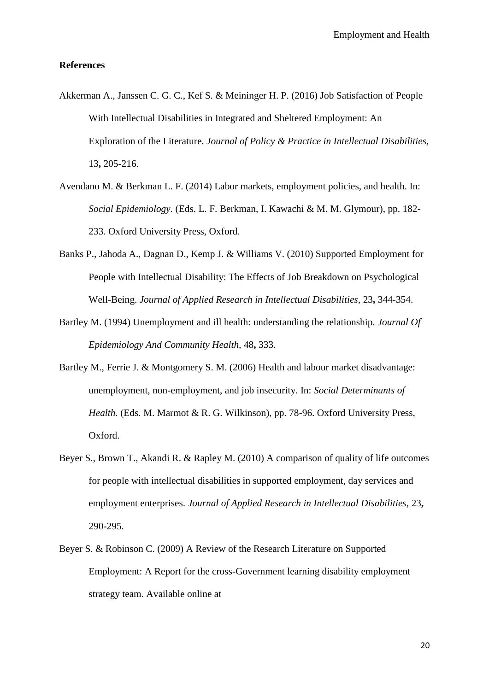#### **References**

- Akkerman A., Janssen C. G. C., Kef S. & Meininger H. P. (2016) Job Satisfaction of People With Intellectual Disabilities in Integrated and Sheltered Employment: An Exploration of the Literature. *Journal of Policy & Practice in Intellectual Disabilities,* 13**,** 205-216.
- Avendano M. & Berkman L. F. (2014) Labor markets, employment policies, and health. In: *Social Epidemiology.* (Eds. L. F. Berkman, I. Kawachi & M. M. Glymour), pp. 182- 233. Oxford University Press, Oxford.
- Banks P., Jahoda A., Dagnan D., Kemp J. & Williams V. (2010) Supported Employment for People with Intellectual Disability: The Effects of Job Breakdown on Psychological Well-Being. *Journal of Applied Research in Intellectual Disabilities,* 23**,** 344-354.
- Bartley M. (1994) Unemployment and ill health: understanding the relationship. *Journal Of Epidemiology And Community Health,* 48**,** 333.
- Bartley M., Ferrie J. & Montgomery S. M. (2006) Health and labour market disadvantage: unemployment, non-employment, and job insecurity. In: *Social Determinants of Health.* (Eds. M. Marmot & R. G. Wilkinson), pp. 78-96. Oxford University Press, Oxford.
- Beyer S., Brown T., Akandi R. & Rapley M. (2010) A comparison of quality of life outcomes for people with intellectual disabilities in supported employment, day services and employment enterprises. *Journal of Applied Research in Intellectual Disabilities,* 23**,** 290-295.
- Beyer S. & Robinson C. (2009) A Review of the Research Literature on Supported Employment: A Report for the cross-Government learning disability employment strategy team. Available online at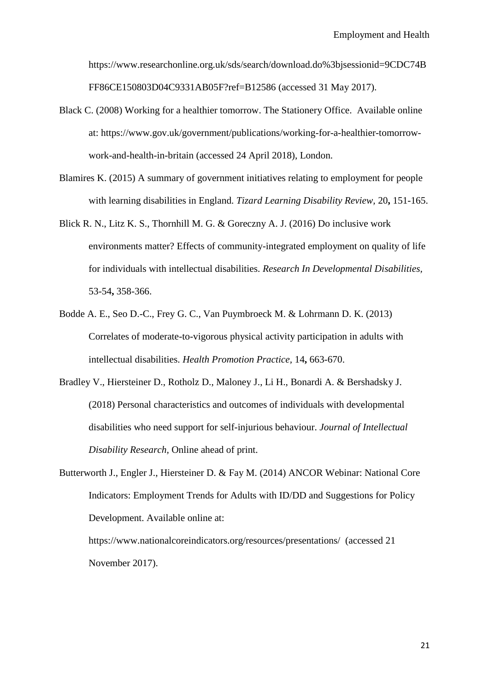https://www.researchonline.org.uk/sds/search/download.do%3bjsessionid=9CDC74B FF86CE150803D04C9331AB05F?ref=B12586 (accessed 31 May 2017).

- Black C. (2008) Working for a healthier tomorrow. The Stationery Office. Available online at: https://www.gov.uk/government/publications/working-for-a-healthier-tomorrowwork-and-health-in-britain (accessed 24 April 2018), London.
- Blamires K. (2015) A summary of government initiatives relating to employment for people with learning disabilities in England. *Tizard Learning Disability Review,* 20**,** 151-165.
- Blick R. N., Litz K. S., Thornhill M. G. & Goreczny A. J. (2016) Do inclusive work environments matter? Effects of community-integrated employment on quality of life for individuals with intellectual disabilities. *Research In Developmental Disabilities,* 53-54**,** 358-366.
- Bodde A. E., Seo D.-C., Frey G. C., Van Puymbroeck M. & Lohrmann D. K. (2013) Correlates of moderate-to-vigorous physical activity participation in adults with intellectual disabilities. *Health Promotion Practice,* 14**,** 663-670.
- Bradley V., Hiersteiner D., Rotholz D., Maloney J., Li H., Bonardi A. & Bershadsky J. (2018) Personal characteristics and outcomes of individuals with developmental disabilities who need support for self-injurious behaviour. *Journal of Intellectual Disability Research,* Online ahead of print.
- Butterworth J., Engler J., Hiersteiner D. & Fay M. (2014) ANCOR Webinar: National Core Indicators: Employment Trends for Adults with ID/DD and Suggestions for Policy Development. Available online at:

https://www.nationalcoreindicators.org/resources/presentations/ (accessed 21 November 2017).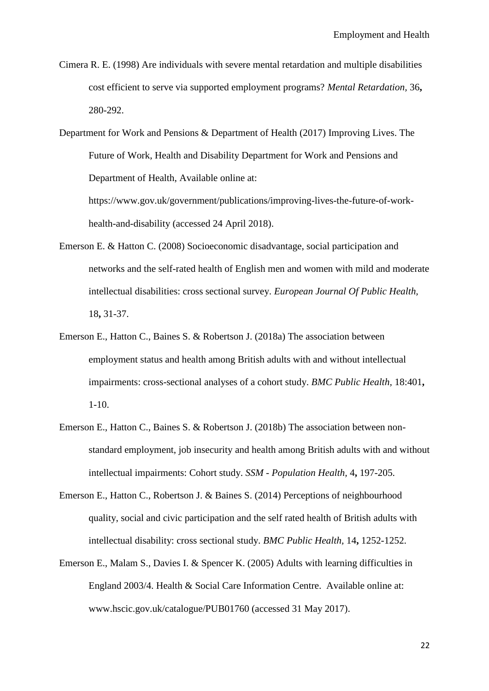- Cimera R. E. (1998) Are individuals with severe mental retardation and multiple disabilities cost efficient to serve via supported employment programs? *Mental Retardation,* 36**,** 280-292.
- Department for Work and Pensions & Department of Health (2017) Improving Lives. The Future of Work, Health and Disability Department for Work and Pensions and Department of Health, Available online at:

https://www.gov.uk/government/publications/improving-lives-the-future-of-workhealth-and-disability (accessed 24 April 2018).

- Emerson E. & Hatton C. (2008) Socioeconomic disadvantage, social participation and networks and the self-rated health of English men and women with mild and moderate intellectual disabilities: cross sectional survey. *European Journal Of Public Health,* 18**,** 31-37.
- Emerson E., Hatton C., Baines S. & Robertson J. (2018a) The association between employment status and health among British adults with and without intellectual impairments: cross-sectional analyses of a cohort study. *BMC Public Health,* 18:401**,** 1-10.
- Emerson E., Hatton C., Baines S. & Robertson J. (2018b) The association between nonstandard employment, job insecurity and health among British adults with and without intellectual impairments: Cohort study. *SSM - Population Health,* 4**,** 197-205.
- Emerson E., Hatton C., Robertson J. & Baines S. (2014) Perceptions of neighbourhood quality, social and civic participation and the self rated health of British adults with intellectual disability: cross sectional study. *BMC Public Health,* 14**,** 1252-1252.
- Emerson E., Malam S., Davies I. & Spencer K. (2005) Adults with learning difficulties in England 2003/4. Health & Social Care Information Centre. Available online at: www.hscic.gov.uk/catalogue/PUB01760 (accessed 31 May 2017).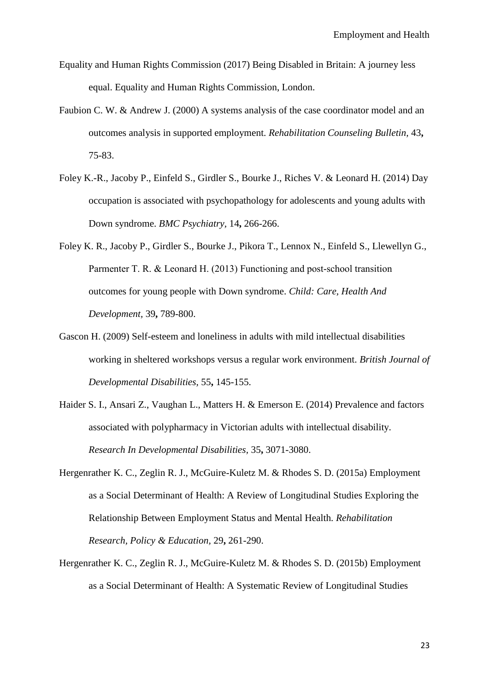- Equality and Human Rights Commission (2017) Being Disabled in Britain: A journey less equal. Equality and Human Rights Commission, London.
- Faubion C. W. & Andrew J. (2000) A systems analysis of the case coordinator model and an outcomes analysis in supported employment. *Rehabilitation Counseling Bulletin,* 43**,** 75-83.
- Foley K.-R., Jacoby P., Einfeld S., Girdler S., Bourke J., Riches V. & Leonard H. (2014) Day occupation is associated with psychopathology for adolescents and young adults with Down syndrome. *BMC Psychiatry,* 14**,** 266-266.
- Foley K. R., Jacoby P., Girdler S., Bourke J., Pikora T., Lennox N., Einfeld S., Llewellyn G., Parmenter T. R. & Leonard H. (2013) Functioning and post-school transition outcomes for young people with Down syndrome. *Child: Care, Health And Development,* 39**,** 789-800.
- Gascon H. (2009) Self-esteem and loneliness in adults with mild intellectual disabilities working in sheltered workshops versus a regular work environment. *British Journal of Developmental Disabilities,* 55**,** 145-155.
- Haider S. I., Ansari Z., Vaughan L., Matters H. & Emerson E. (2014) Prevalence and factors associated with polypharmacy in Victorian adults with intellectual disability. *Research In Developmental Disabilities,* 35**,** 3071-3080.
- Hergenrather K. C., Zeglin R. J., McGuire-Kuletz M. & Rhodes S. D. (2015a) Employment as a Social Determinant of Health: A Review of Longitudinal Studies Exploring the Relationship Between Employment Status and Mental Health. *Rehabilitation Research, Policy & Education,* 29**,** 261-290.
- Hergenrather K. C., Zeglin R. J., McGuire-Kuletz M. & Rhodes S. D. (2015b) Employment as a Social Determinant of Health: A Systematic Review of Longitudinal Studies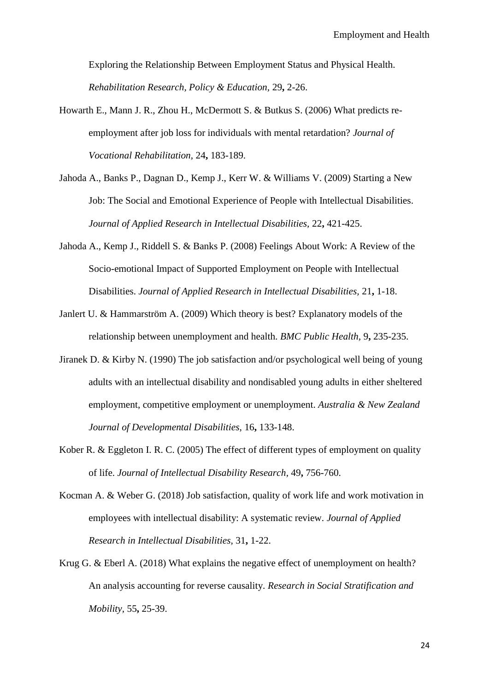Exploring the Relationship Between Employment Status and Physical Health. *Rehabilitation Research, Policy & Education,* 29**,** 2-26.

- Howarth E., Mann J. R., Zhou H., McDermott S. & Butkus S. (2006) What predicts reemployment after job loss for individuals with mental retardation? *Journal of Vocational Rehabilitation,* 24**,** 183-189.
- Jahoda A., Banks P., Dagnan D., Kemp J., Kerr W. & Williams V. (2009) Starting a New Job: The Social and Emotional Experience of People with Intellectual Disabilities. *Journal of Applied Research in Intellectual Disabilities,* 22**,** 421-425.
- Jahoda A., Kemp J., Riddell S. & Banks P. (2008) Feelings About Work: A Review of the Socio-emotional Impact of Supported Employment on People with Intellectual Disabilities. *Journal of Applied Research in Intellectual Disabilities,* 21**,** 1-18.
- Janlert U. & Hammarström A. (2009) Which theory is best? Explanatory models of the relationship between unemployment and health. *BMC Public Health,* 9**,** 235-235.
- Jiranek D. & Kirby N. (1990) The job satisfaction and/or psychological well being of young adults with an intellectual disability and nondisabled young adults in either sheltered employment, competitive employment or unemployment. *Australia & New Zealand Journal of Developmental Disabilities,* 16**,** 133-148.
- Kober R. & Eggleton I. R. C. (2005) The effect of different types of employment on quality of life. *Journal of Intellectual Disability Research,* 49**,** 756-760.
- Kocman A. & Weber G. (2018) Job satisfaction, quality of work life and work motivation in employees with intellectual disability: A systematic review. *Journal of Applied Research in Intellectual Disabilities,* 31**,** 1-22.
- Krug G. & Eberl A. (2018) What explains the negative effect of unemployment on health? An analysis accounting for reverse causality. *Research in Social Stratification and Mobility,* 55**,** 25-39.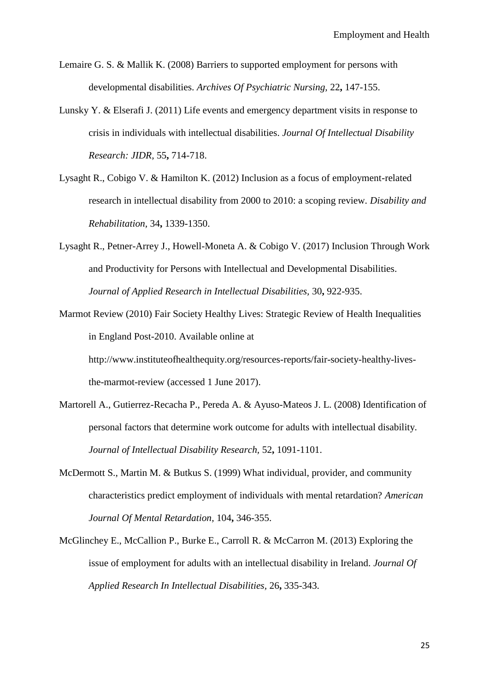- Lemaire G. S. & Mallik K. (2008) Barriers to supported employment for persons with developmental disabilities. *Archives Of Psychiatric Nursing,* 22**,** 147-155.
- Lunsky Y. & Elserafi J. (2011) Life events and emergency department visits in response to crisis in individuals with intellectual disabilities. *Journal Of Intellectual Disability Research: JIDR,* 55**,** 714-718.
- Lysaght R., Cobigo V. & Hamilton K. (2012) Inclusion as a focus of employment-related research in intellectual disability from 2000 to 2010: a scoping review. *Disability and Rehabilitation,* 34**,** 1339-1350.
- Lysaght R., Petner-Arrey J., Howell-Moneta A. & Cobigo V. (2017) Inclusion Through Work and Productivity for Persons with Intellectual and Developmental Disabilities. *Journal of Applied Research in Intellectual Disabilities,* 30**,** 922-935.
- Marmot Review (2010) Fair Society Healthy Lives: Strategic Review of Health Inequalities in England Post-2010. Available online at

http://www.instituteofhealthequity.org/resources-reports/fair-society-healthy-livesthe-marmot-review (accessed 1 June 2017).

- Martorell A., Gutierrez-Recacha P., Pereda A. & Ayuso-Mateos J. L. (2008) Identification of personal factors that determine work outcome for adults with intellectual disability. *Journal of Intellectual Disability Research,* 52**,** 1091-1101.
- McDermott S., Martin M. & Butkus S. (1999) What individual, provider, and community characteristics predict employment of individuals with mental retardation? *American Journal Of Mental Retardation,* 104**,** 346-355.
- McGlinchey E., McCallion P., Burke E., Carroll R. & McCarron M. (2013) Exploring the issue of employment for adults with an intellectual disability in Ireland. *Journal Of Applied Research In Intellectual Disabilities,* 26**,** 335-343.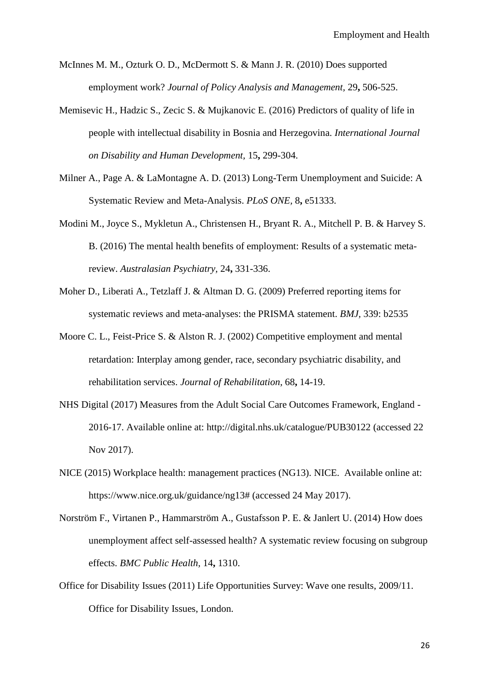- McInnes M. M., Ozturk O. D., McDermott S. & Mann J. R. (2010) Does supported employment work? *Journal of Policy Analysis and Management,* 29**,** 506-525.
- Memisevic H., Hadzic S., Zecic S. & Mujkanovic E. (2016) Predictors of quality of life in people with intellectual disability in Bosnia and Herzegovina. *International Journal on Disability and Human Development,* 15**,** 299-304.
- Milner A., Page A. & LaMontagne A. D. (2013) Long-Term Unemployment and Suicide: A Systematic Review and Meta-Analysis. *PLoS ONE,* 8**,** e51333.
- Modini M., Joyce S., Mykletun A., Christensen H., Bryant R. A., Mitchell P. B. & Harvey S. B. (2016) The mental health benefits of employment: Results of a systematic metareview. *Australasian Psychiatry,* 24**,** 331-336.
- Moher D., Liberati A., Tetzlaff J. & Altman D. G. (2009) Preferred reporting items for systematic reviews and meta-analyses: the PRISMA statement. *BMJ,* 339: b2535
- Moore C. L., Feist-Price S. & Alston R. J. (2002) Competitive employment and mental retardation: Interplay among gender, race, secondary psychiatric disability, and rehabilitation services. *Journal of Rehabilitation,* 68**,** 14-19.
- NHS Digital (2017) Measures from the Adult Social Care Outcomes Framework, England 2016-17. Available online at: http://digital.nhs.uk/catalogue/PUB30122 (accessed 22 Nov 2017).
- NICE (2015) Workplace health: management practices (NG13). NICE. Available online at: https://www.nice.org.uk/guidance/ng13# (accessed 24 May 2017).
- Norström F., Virtanen P., Hammarström A., Gustafsson P. E. & Janlert U. (2014) How does unemployment affect self-assessed health? A systematic review focusing on subgroup effects. *BMC Public Health,* 14**,** 1310.
- Office for Disability Issues (2011) Life Opportunities Survey: Wave one results, 2009/11. Office for Disability Issues, London.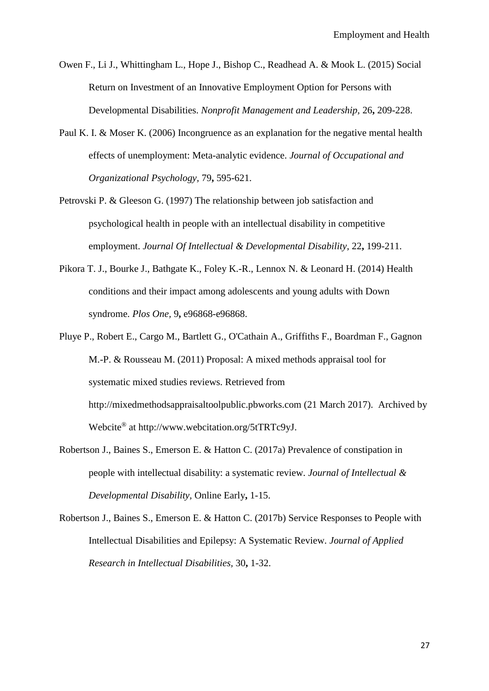Owen F., Li J., Whittingham L., Hope J., Bishop C., Readhead A. & Mook L. (2015) Social Return on Investment of an Innovative Employment Option for Persons with Developmental Disabilities. *Nonprofit Management and Leadership,* 26**,** 209-228.

- Paul K. I. & Moser K. (2006) Incongruence as an explanation for the negative mental health effects of unemployment: Meta-analytic evidence. *Journal of Occupational and Organizational Psychology,* 79**,** 595-621.
- Petrovski P. & Gleeson G. (1997) The relationship between job satisfaction and psychological health in people with an intellectual disability in competitive employment. *Journal Of Intellectual & Developmental Disability,* 22**,** 199-211.
- Pikora T. J., Bourke J., Bathgate K., Foley K.-R., Lennox N. & Leonard H. (2014) Health conditions and their impact among adolescents and young adults with Down syndrome. *Plos One,* 9**,** e96868-e96868.
- Pluye P., Robert E., Cargo M., Bartlett G., O'Cathain A., Griffiths F., Boardman F., Gagnon M.-P. & Rousseau M. (2011) Proposal: A mixed methods appraisal tool for systematic mixed studies reviews. Retrieved from http://mixedmethodsappraisaltoolpublic.pbworks.com (21 March 2017). Archived by Webcite® at http://www.webcitation.org/5tTRTc9yJ.
- Robertson J., Baines S., Emerson E. & Hatton C. (2017a) Prevalence of constipation in people with intellectual disability: a systematic review. *Journal of Intellectual & Developmental Disability,* Online Early**,** 1-15.
- Robertson J., Baines S., Emerson E. & Hatton C. (2017b) Service Responses to People with Intellectual Disabilities and Epilepsy: A Systematic Review. *Journal of Applied Research in Intellectual Disabilities,* 30**,** 1-32.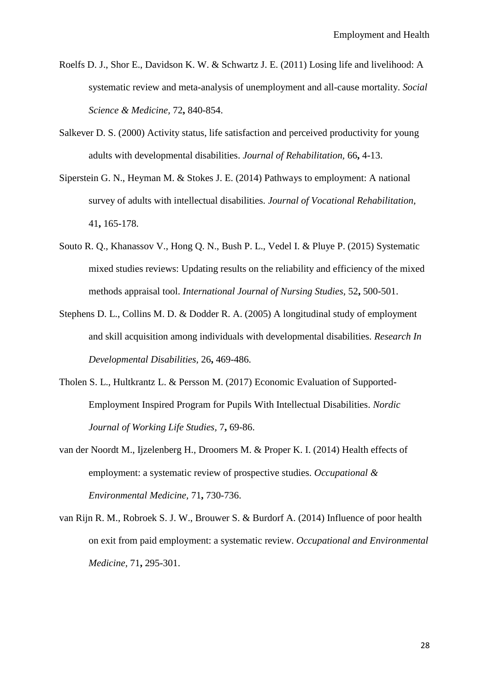- Roelfs D. J., Shor E., Davidson K. W. & Schwartz J. E. (2011) Losing life and livelihood: A systematic review and meta-analysis of unemployment and all-cause mortality. *Social Science & Medicine,* 72**,** 840-854.
- Salkever D. S. (2000) Activity status, life satisfaction and perceived productivity for young adults with developmental disabilities. *Journal of Rehabilitation,* 66**,** 4-13.
- Siperstein G. N., Heyman M. & Stokes J. E. (2014) Pathways to employment: A national survey of adults with intellectual disabilities. *Journal of Vocational Rehabilitation,* 41**,** 165-178.
- Souto R. Q., Khanassov V., Hong Q. N., Bush P. L., Vedel I. & Pluye P. (2015) Systematic mixed studies reviews: Updating results on the reliability and efficiency of the mixed methods appraisal tool. *International Journal of Nursing Studies,* 52**,** 500-501.
- Stephens D. L., Collins M. D. & Dodder R. A. (2005) A longitudinal study of employment and skill acquisition among individuals with developmental disabilities. *Research In Developmental Disabilities,* 26**,** 469-486.
- Tholen S. L., Hultkrantz L. & Persson M. (2017) Economic Evaluation of Supported-Employment Inspired Program for Pupils With Intellectual Disabilities. *Nordic Journal of Working Life Studies,* 7**,** 69-86.
- van der Noordt M., Ijzelenberg H., Droomers M. & Proper K. I. (2014) Health effects of employment: a systematic review of prospective studies. *Occupational & Environmental Medicine,* 71**,** 730-736.
- van Rijn R. M., Robroek S. J. W., Brouwer S. & Burdorf A. (2014) Influence of poor health on exit from paid employment: a systematic review. *Occupational and Environmental Medicine,* 71**,** 295-301.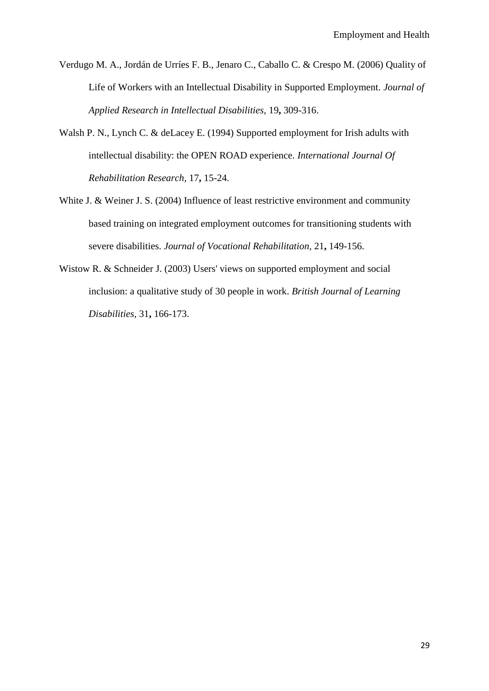- Verdugo M. A., Jordán de Urríes F. B., Jenaro C., Caballo C. & Crespo M. (2006) Quality of Life of Workers with an Intellectual Disability in Supported Employment. *Journal of Applied Research in Intellectual Disabilities,* 19**,** 309-316.
- Walsh P. N., Lynch C. & deLacey E. (1994) Supported employment for Irish adults with intellectual disability: the OPEN ROAD experience. *International Journal Of Rehabilitation Research,* 17**,** 15-24.
- White J. & Weiner J. S. (2004) Influence of least restrictive environment and community based training on integrated employment outcomes for transitioning students with severe disabilities. *Journal of Vocational Rehabilitation,* 21**,** 149-156.
- Wistow R. & Schneider J. (2003) Users' views on supported employment and social inclusion: a qualitative study of 30 people in work. *British Journal of Learning Disabilities,* 31**,** 166-173.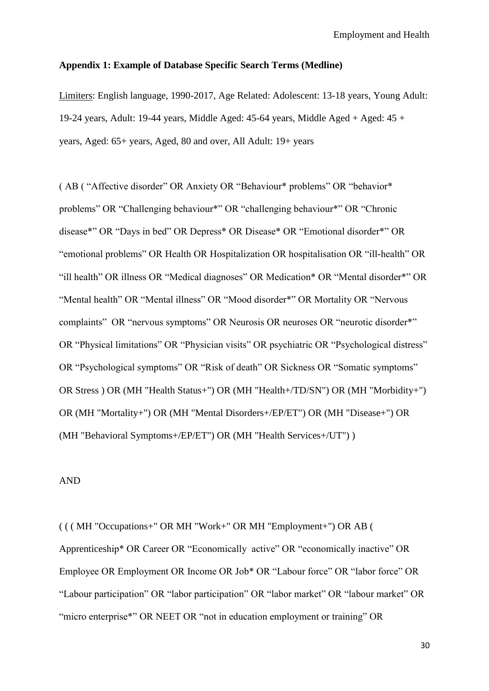#### **Appendix 1: Example of Database Specific Search Terms (Medline)**

Limiters: English language, 1990-2017, Age Related: Adolescent: 13-18 years, Young Adult: 19-24 years, Adult: 19-44 years, Middle Aged: 45-64 years, Middle Aged + Aged: 45 + years, Aged: 65+ years, Aged, 80 and over, All Adult: 19+ years

( AB ( "Affective disorder" OR Anxiety OR "Behaviour\* problems" OR "behavior\* problems" OR "Challenging behaviour\*" OR "challenging behaviour\*" OR "Chronic disease\*" OR "Days in bed" OR Depress\* OR Disease\* OR "Emotional disorder\*" OR "emotional problems" OR Health OR Hospitalization OR hospitalisation OR "ill-health" OR "ill health" OR illness OR "Medical diagnoses" OR Medication\* OR "Mental disorder\*" OR "Mental health" OR "Mental illness" OR "Mood disorder\*" OR Mortality OR "Nervous complaints" OR "nervous symptoms" OR Neurosis OR neuroses OR "neurotic disorder\*" OR "Physical limitations" OR "Physician visits" OR psychiatric OR "Psychological distress" OR "Psychological symptoms" OR "Risk of death" OR Sickness OR "Somatic symptoms" OR Stress ) OR (MH "Health Status+") OR (MH "Health+/TD/SN") OR (MH "Morbidity+") OR (MH "Mortality+") OR (MH "Mental Disorders+/EP/ET") OR (MH "Disease+") OR (MH "Behavioral Symptoms+/EP/ET") OR (MH "Health Services+/UT") )

## AND

( ( ( MH "Occupations+" OR MH "Work+" OR MH "Employment+") OR AB ( Apprenticeship\* OR Career OR "Economically active" OR "economically inactive" OR Employee OR Employment OR Income OR Job\* OR "Labour force" OR "labor force" OR "Labour participation" OR "labor participation" OR "labor market" OR "labour market" OR "micro enterprise\*" OR NEET OR "not in education employment or training" OR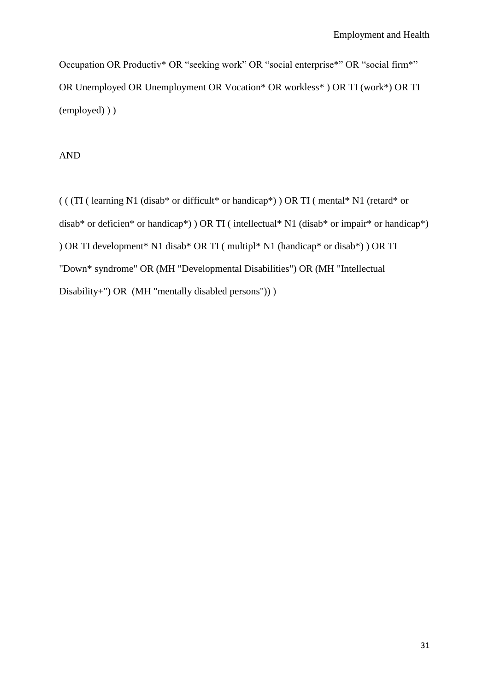Occupation OR Productiv\* OR "seeking work" OR "social enterprise\*" OR "social firm\*" OR Unemployed OR Unemployment OR Vocation\* OR workless\* ) OR TI (work\*) OR TI (employed) ) )

AND

( ( (TI ( learning N1 (disab\* or difficult\* or handicap\*) ) OR TI ( mental\* N1 (retard\* or disab\* or deficien\* or handicap\*) ) OR TI ( intellectual\* N1 (disab\* or impair\* or handicap\*) ) OR TI development\* N1 disab\* OR TI ( multipl\* N1 (handicap\* or disab\*) ) OR TI "Down\* syndrome" OR (MH "Developmental Disabilities") OR (MH "Intellectual Disability+") OR (MH "mentally disabled persons")) )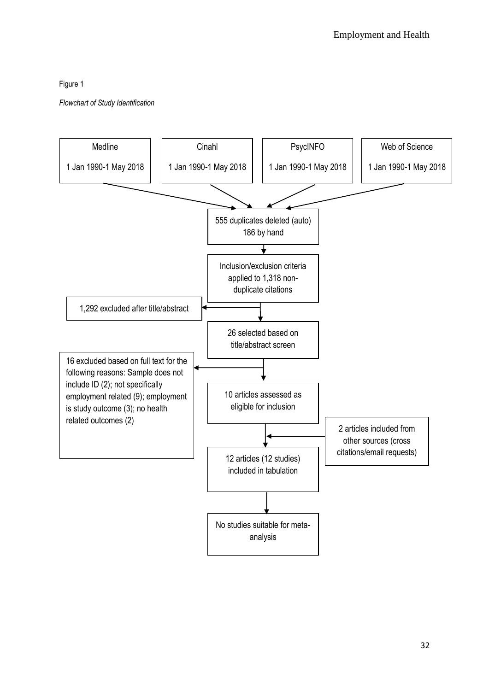## Figure 1

*Flowchart of Study Identification*

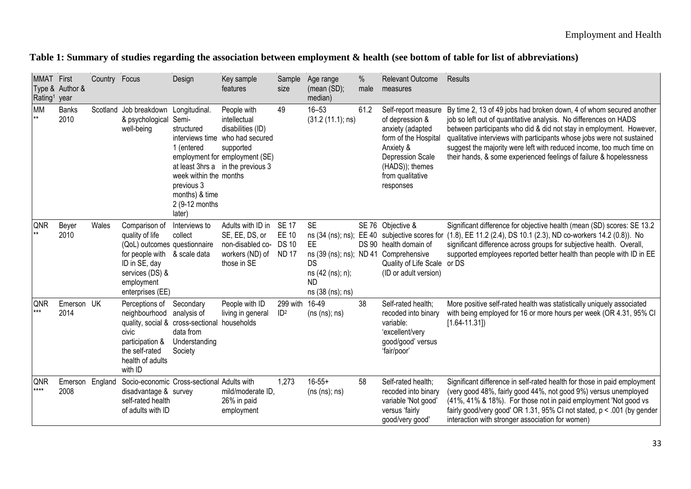|  |  |  |  |  | Table 1: Summary of studies regarding the association between employment & health (see bottom of table for list of abbreviations) |  |  |  |  |  |  |  |
|--|--|--|--|--|-----------------------------------------------------------------------------------------------------------------------------------|--|--|--|--|--|--|--|
|--|--|--|--|--|-----------------------------------------------------------------------------------------------------------------------------------|--|--|--|--|--|--|--|

| <b>MMAT</b> First<br>Rating <sup>1</sup> | Type & Author &<br>year | Country Focus |                                                                                                                                                           | Design                                                                                                                                   | Key sample<br>features                                                                                                                                                  | Sample<br>size                                               | Age range<br>(mean (SD);<br>median)                                                                                         | %<br>male | <b>Relevant Outcome</b><br>measures                                                                                                                                            | Results                                                                                                                                                                                                                                                                                                                                                                                                                                |
|------------------------------------------|-------------------------|---------------|-----------------------------------------------------------------------------------------------------------------------------------------------------------|------------------------------------------------------------------------------------------------------------------------------------------|-------------------------------------------------------------------------------------------------------------------------------------------------------------------------|--------------------------------------------------------------|-----------------------------------------------------------------------------------------------------------------------------|-----------|--------------------------------------------------------------------------------------------------------------------------------------------------------------------------------|----------------------------------------------------------------------------------------------------------------------------------------------------------------------------------------------------------------------------------------------------------------------------------------------------------------------------------------------------------------------------------------------------------------------------------------|
| <b>MM</b>                                | <b>Banks</b><br>2010    |               | Scotland Job breakdown<br>& psychological<br>well-being                                                                                                   | Longitudinal.<br>Semi-<br>structured<br>1 (entered<br>week within the months<br>previous 3<br>months) & time<br>2 (9-12 months<br>later) | People with<br>intellectual<br>disabilities (ID)<br>interviews time who had secured<br>supported<br>employment for employment (SE)<br>at least 3hrs a in the previous 3 | 49                                                           | $16 - 53$<br>(31.2 (11.1); ns)                                                                                              | 61.2      | Self-report measure<br>of depression &<br>anxiety (adapted<br>form of the Hospital<br>Anxiety &<br><b>Depression Scale</b><br>(HADS)); themes<br>from qualitative<br>responses | By time 2, 13 of 49 jobs had broken down, 4 of whom secured another<br>job so left out of quantitative analysis. No differences on HADS<br>between participants who did & did not stay in employment. However,<br>qualitative interviews with participants whose jobs were not sustained<br>suggest the majority were left with reduced income, too much time on<br>their hands, & some experienced feelings of failure & hopelessness |
| QNR                                      | Beyer<br>2010           | Wales         | Comparison of<br>quality of life<br>(QoL) outcomes questionnaire<br>for people with<br>ID in SE, day<br>services (DS) &<br>employment<br>enterprises (EE) | Interviews to<br>collect<br>& scale data                                                                                                 | Adults with ID in<br>SE, EE, DS, or<br>non-disabled co-<br>workers (ND) of<br>those in SE                                                                               | <b>SE 17</b><br><b>EE 10</b><br><b>DS 10</b><br><b>ND 17</b> | <b>SE</b><br>ns (34 (ns); ns); EE 40<br>EE.<br>ns (39 (ns); ns); ND 41<br>DS<br>ns (42 (ns); n);<br>ND.<br>ns (38 (ns); ns) |           | SE 76 Objective &<br>subjective scores for<br>DS 90 health domain of<br>Comprehensive<br>Quality of Life Scale or DS<br>(ID or adult version)                                  | Significant difference for objective health (mean (SD) scores: SE 13.2<br>(1.8), EE 11.2 (2.4), DS 10.1 (2.3), ND co-workers 14.2 (0.8)). No<br>significant difference across groups for subjective health. Overall,<br>supported employees reported better health than people with ID in EE                                                                                                                                           |
| QNR<br>$***$                             | Emerson UK<br>2014      |               | Perceptions of<br>neighbourhood<br>quality, social & cross-sectional<br>civic<br>participation &<br>the self-rated<br>health of adults<br>with ID         | Secondary<br>analysis of<br>data from<br>Understanding<br>Society                                                                        | People with ID<br>living in general<br>households                                                                                                                       | 299 with<br>ID <sup>2</sup>                                  | 16-49<br>(ns (ns); ns)                                                                                                      | 38        | Self-rated health;<br>recoded into binary<br>variable:<br>'excellent/very<br>good/good' versus<br>'fair/poor'                                                                  | More positive self-rated health was statistically uniquely associated<br>with being employed for 16 or more hours per week (OR 4.31, 95% CI<br>$[1.64 - 11.31]$                                                                                                                                                                                                                                                                        |
| QNR<br>****                              | Emerson England<br>2008 |               | Socio-economic Cross-sectional Adults with<br>disadvantage & survey<br>self-rated health<br>of adults with ID                                             |                                                                                                                                          | mild/moderate ID.<br>26% in paid<br>employment                                                                                                                          | 1,273                                                        | $16 - 55 +$<br>(ns (ns); ns)                                                                                                | 58        | Self-rated health;<br>recoded into binary<br>variable 'Not good'<br>versus 'fairly<br>good/very good'                                                                          | Significant difference in self-rated health for those in paid employment<br>(very good 48%, fairly good 44%, not good 9%) versus unemployed<br>(41%, 41% & 18%). For those not in paid employment 'Not good vs<br>fairly good/very good' OR 1.31, 95% CI not stated, p < .001 (by gender<br>interaction with stronger association for women)                                                                                           |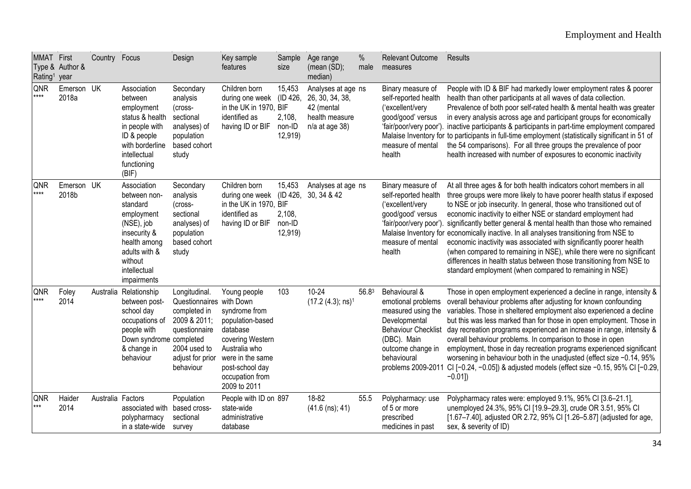| MMAT First<br>Rating <sup>1</sup> | Type & Author &<br>year | Country Focus     |                                                                                                                                                                | Design                                                                                                                                      | Key sample<br>features                                                                                                                                                       | Sample<br>size                                    | Age range<br>$(mean (SD))$ ;<br>median)                                                   | %<br>male | Relevant Outcome<br>measures                                                                                                                                                      | Results                                                                                                                                                                                                                                                                                                                                                                                                                                                                                                                                                                                                                                                                                                                                  |
|-----------------------------------|-------------------------|-------------------|----------------------------------------------------------------------------------------------------------------------------------------------------------------|---------------------------------------------------------------------------------------------------------------------------------------------|------------------------------------------------------------------------------------------------------------------------------------------------------------------------------|---------------------------------------------------|-------------------------------------------------------------------------------------------|-----------|-----------------------------------------------------------------------------------------------------------------------------------------------------------------------------------|------------------------------------------------------------------------------------------------------------------------------------------------------------------------------------------------------------------------------------------------------------------------------------------------------------------------------------------------------------------------------------------------------------------------------------------------------------------------------------------------------------------------------------------------------------------------------------------------------------------------------------------------------------------------------------------------------------------------------------------|
| QNR<br>****                       | Emerson UK<br>2018a     |                   | Association<br>between<br>employment<br>status & health<br>in people with<br>ID & people<br>with borderline<br>intellectual<br>functioning<br>(BIF)            | Secondary<br>analysis<br>(cross-<br>sectional<br>analyses) of<br>population<br>based cohort<br>study                                        | Children born<br>during one week<br>in the UK in 1970, BIF<br>identified as<br>having ID or BIF                                                                              | 15,453<br>(ID 426,<br>2,108,<br>non-ID<br>12,919) | Analyses at age ns<br>26, 30, 34, 38,<br>42 (mental<br>health measure<br>$n/a$ at age 38) |           | Binary measure of<br>self-reported health<br>('excellent/very<br>good/good' versus<br>'fair/poor/very poor').<br>measure of mental<br>health                                      | People with ID & BIF had markedly lower employment rates & poorer<br>health than other participants at all waves of data collection.<br>Prevalence of both poor self-rated health & mental health was greater<br>in every analysis across age and participant groups for economically<br>inactive participants & participants in part-time employment compared<br>Malaise Inventory for to participants in full-time employment (statistically significant in 51 of<br>the 54 comparisons). For all three groups the prevalence of poor<br>health increased with number of exposures to economic inactivity                                                                                                                              |
| QNR<br>****                       | Emerson UK<br>2018b     |                   | Association<br>between non-<br>standard<br>employment<br>(NSE), job<br>insecurity &<br>health among<br>adults with &<br>without<br>intellectual<br>impairments | Secondary<br>analysis<br>(cross-<br>sectional<br>analyses) of<br>population<br>based cohort<br>study                                        | Children born<br>during one week<br>in the UK in 1970, BIF<br>identified as<br>having ID or BIF                                                                              | 15,453<br>2,108,<br>non-ID<br>12,919)             | Analyses at age ns<br>(ID 426, 30, 34 & 42)                                               |           | Binary measure of<br>self-reported health<br>('excellent/very<br>good/good' versus<br>'fair/poor/very poor').<br>measure of mental<br>health                                      | At all three ages & for both health indicators cohort members in all<br>three groups were more likely to have poorer health status if exposed<br>to NSE or job insecurity. In general, those who transitioned out of<br>economic inactivity to either NSE or standard employment had<br>significantly better general & mental health than those who remained<br>Malaise Inventory for economically inactive. In all analyses transitioning from NSE to<br>economic inactivity was associated with significantly poorer health<br>(when compared to remaining in NSE), while there were no significant<br>differences in health status between those transitioning from NSE to<br>standard employment (when compared to remaining in NSE) |
| QNR<br>****                       | Foley<br>2014           |                   | Australia Relationship<br>between post-<br>school day<br>occupations of<br>people with<br>Down syndrome completed<br>& change in<br>behaviour                  | Longitudinal.<br>Questionnaires with Down<br>completed in<br>2009 & 2011;<br>questionnaire<br>2004 used to<br>adjust for prior<br>behaviour | Young people<br>syndrome from<br>population-based<br>database<br>covering Western<br>Australia who<br>were in the same<br>post-school day<br>occupation from<br>2009 to 2011 | 103                                               | $10 - 24$<br>$(17.2 (4.3); ns)^1$                                                         | 56.83     | Behavioural &<br>emotional problems<br>measured using the<br>Developmental<br><b>Behaviour Checklist</b><br>(DBC). Main<br>outcome change in<br>behavioural<br>problems 2009-2011 | Those in open employment experienced a decline in range, intensity &<br>overall behaviour problems after adjusting for known confounding<br>variables. Those in sheltered employment also experienced a decline<br>but this was less marked than for those in open employment. Those in<br>day recreation programs experienced an increase in range, intensity &<br>overall behaviour problems. In comparison to those in open<br>employment, those in day recreation programs experienced significant<br>worsening in behaviour both in the unadjusted (effect size -0.14, 95%<br>CI [-0.24, -0.05]) & adjusted models (effect size -0.15, 95% CI [-0.29,<br>$-0.01$ ])                                                                 |
| QNR<br>***                        | Haider<br>2014          | Australia Factors | associated with<br>polypharmacy<br>in a state-wide                                                                                                             | Population<br>based cross-<br>sectional<br>survey                                                                                           | People with ID on 897<br>state-wide<br>administrative<br>database                                                                                                            |                                                   | 18-82<br>$(41.6$ (ns); 41)                                                                | 55.5      | Polypharmacy: use<br>of 5 or more<br>prescribed<br>medicines in past                                                                                                              | Polypharmacy rates were: employed 9.1%, 95% CI [3.6-21.1],<br>unemployed 24.3%, 95% CI [19.9-29.3], crude OR 3.51, 95% CI<br>[1.67-7.40], adjusted OR 2.72, 95% CI [1.26-5.87] (adjusted for age,<br>sex, & severity of ID)                                                                                                                                                                                                                                                                                                                                                                                                                                                                                                              |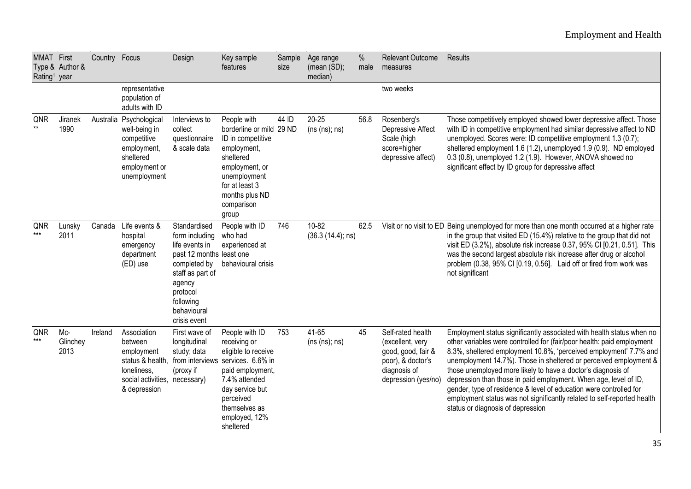## Employment and Health

| MMAT First<br>Rating <sup>1</sup> year | Type & Author &           | Country Focus |                                                                                                                          | Design                                                                                                                                                                             | Key sample<br>features                                                                                                                                                                                         | Sample<br>size | Age range<br>(mean (SD);<br>median) | %<br>male | Relevant Outcome<br>measures                                                                                            | Results                                                                                                                                                                                                                                                                                                                                                                                                                                                                                                                                                                                                             |
|----------------------------------------|---------------------------|---------------|--------------------------------------------------------------------------------------------------------------------------|------------------------------------------------------------------------------------------------------------------------------------------------------------------------------------|----------------------------------------------------------------------------------------------------------------------------------------------------------------------------------------------------------------|----------------|-------------------------------------|-----------|-------------------------------------------------------------------------------------------------------------------------|---------------------------------------------------------------------------------------------------------------------------------------------------------------------------------------------------------------------------------------------------------------------------------------------------------------------------------------------------------------------------------------------------------------------------------------------------------------------------------------------------------------------------------------------------------------------------------------------------------------------|
|                                        |                           |               | representative<br>population of<br>adults with ID                                                                        |                                                                                                                                                                                    |                                                                                                                                                                                                                |                |                                     |           | two weeks                                                                                                               |                                                                                                                                                                                                                                                                                                                                                                                                                                                                                                                                                                                                                     |
| QNR<br>**                              | Jiranek<br>1990           |               | Australia Psychological<br>well-being in<br>competitive<br>employment,<br>sheltered<br>employment or<br>unemployment     | Interviews to<br>collect<br>questionnaire<br>& scale data                                                                                                                          | People with<br>borderline or mild 29 ND<br>ID in competitive<br>employment,<br>sheltered<br>employment, or<br>unemployment<br>for at least 3<br>months plus ND<br>comparison<br>group                          | 44 ID          | $20 - 25$<br>(ns (ns); ns)          | 56.8      | Rosenberg's<br>Depressive Affect<br>Scale (high<br>score=higher<br>depressive affect)                                   | Those competitively employed showed lower depressive affect. Those<br>with ID in competitive employment had similar depressive affect to ND<br>unemployed. Scores were: ID competitive employment 1.3 (0.7);<br>sheltered employment 1.6 (1.2), unemployed 1.9 (0.9). ND employed<br>0.3 (0.8), unemployed 1.2 (1.9). However, ANOVA showed no<br>significant effect by ID group for depressive affect                                                                                                                                                                                                              |
| QNR<br>$***$                           | Lunsky<br>2011            | Canada        | Life events &<br>hospital<br>emergency<br>department<br>(ED) use                                                         | Standardised<br>form including<br>life events in<br>past 12 months least one<br>completed by<br>staff as part of<br>agency<br>protocol<br>following<br>behavioural<br>crisis event | People with ID<br>who had<br>experienced at<br>behavioural crisis                                                                                                                                              | 746            | 10-82<br>(36.3 (14.4); ns)          | 62.5      |                                                                                                                         | Visit or no visit to ED Being unemployed for more than one month occurred at a higher rate<br>in the group that visited ED (15.4%) relative to the group that did not<br>visit ED (3.2%), absolute risk increase 0.37, 95% CI [0.21, 0.51]. This<br>was the second largest absolute risk increase after drug or alcohol<br>problem (0.38, 95% CI [0.19, 0.56]. Laid off or fired from work was<br>not significant                                                                                                                                                                                                   |
| QNR<br>$***$                           | $Mc-$<br>Glinchey<br>2013 | Ireland       | Association<br>between<br>employment<br>status & health,<br>loneliness,<br>social activities, necessary)<br>& depression | First wave of<br>longitudinal<br>study; data<br>(proxy if                                                                                                                          | People with ID<br>receiving or<br>eligible to receive<br>from interviews services. 6.6% in<br>paid employment,<br>7.4% attended<br>day service but<br>perceived<br>themselves as<br>employed, 12%<br>sheltered | 753            | 41-65<br>(ns (ns); ns)              | 45        | Self-rated health<br>(excellent, very<br>good, good, fair &<br>poor), & doctor's<br>diagnosis of<br>depression (yes/no) | Employment status significantly associated with health status when no<br>other variables were controlled for (fair/poor health: paid employment<br>8.3%, sheltered employment 10.8%, 'perceived employment' 7.7% and<br>unemployment 14.7%). Those in sheltered or perceived employment &<br>those unemployed more likely to have a doctor's diagnosis of<br>depression than those in paid employment. When age, level of ID,<br>gender, type of residence & level of education were controlled for<br>employment status was not significantly related to self-reported health<br>status or diagnosis of depression |